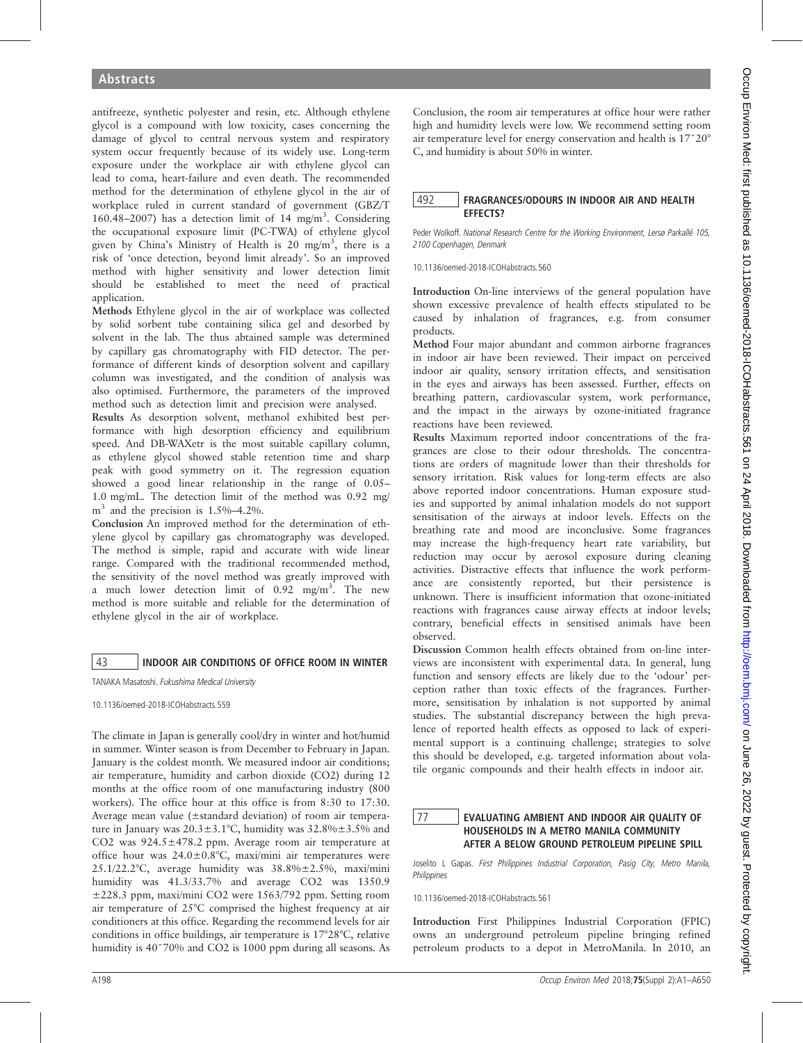antifreeze, synthetic polyester and resin, etc. Although ethylene glycol is a compound with low toxicity, cases concerning the damage of glycol to central nervous system and respiratory system occur frequently because of its widely use. Long-term exposure under the workplace air with ethylene glycol can lead to coma, heart-failure and even death. The recommended method for the determination of ethylene glycol in the air of workplace ruled in current standard of government (GBZ/T 160.48-2007) has a detection limit of 14 mg/m<sup>3</sup>. Considering the occupational exposure limit (PC-TWA) of ethylene glycol given by China's Ministry of Health is 20 mg/m<sup>3</sup>, there is a risk of 'once detection, beyond limit already'. So an improved method with higher sensitivity and lower detection limit should be established to meet the need of practical application.

Methods Ethylene glycol in the air of workplace was collected by solid sorbent tube containing silica gel and desorbed by solvent in the lab. The thus abtained sample was determined by capillary gas chromatography with FID detector. The performance of different kinds of desorption solvent and capillary column was investigated, and the condition of analysis was also optimised. Furthermore, the parameters of the improved method such as detection limit and precision were analysed.

Results As desorption solvent, methanol exhibited best performance with high desorption efficiency and equilibrium speed. And DB-WAXetr is the most suitable capillary column, as ethylene glycol showed stable retention time and sharp peak with good symmetry on it. The regression equation showed a good linear relationship in the range of 0.05– 1.0 mg/mL. The detection limit of the method was 0.92 mg/  $m<sup>3</sup>$  and the precision is 1.5%–4.2%.

Conclusion An improved method for the determination of ethylene glycol by capillary gas chromatography was developed. The method is simple, rapid and accurate with wide linear range. Compared with the traditional recommended method, the sensitivity of the novel method was greatly improved with a much lower detection limit of 0.92 mg/m<sup>3</sup>. The new method is more suitable and reliable for the determination of ethylene glycol in the air of workplace.

## 43 **INDOOR AIR CONDITIONS OF OFFICE ROOM IN WINTER**

TANAKA Masatoshi. Fukushima Medical University

10.1136/oemed-2018-ICOHabstracts.559

The climate in Japan is generally cool/dry in winter and hot/humid in summer. Winter season is from December to February in Japan. January is the coldest month. We measured indoor air conditions; air temperature, humidity and carbon dioxide (CO2) during 12 months at the office room of one manufacturing industry (800 workers). The office hour at this office is from 8:30 to 17:30. Average mean value (±standard deviation) of room air temperature in January was  $20.3 \pm 3.1^{\circ}$ C, humidity was  $32.8\% \pm 3.5\%$  and CO2 was 924.5±478.2 ppm. Average room air temperature at office hour was 24.0±0.8°C, maxi/mini air temperatures were 25.1/22.2°C, average humidity was 38.8%±2.5%, maxi/mini humidity was 41.3/33.7% and average CO2 was 1350.9 ±228.3 ppm, maxi/mini CO2 were 1563/792 ppm. Setting room air temperature of 25°C comprised the highest frequency at air conditioners at this office. Regarding the recommend levels for air conditions in office buildings, air temperature is 17°28°C, relative humidity is 40<sup> $-70\%$ </sup> and CO2 is 1000 ppm during all seasons. As

Conclusion, the room air temperatures at office hour were rather high and humidity levels were low. We recommend setting room air temperature level for energy conservation and health is 17˜20° C, and humidity is about 50% in winter.

## 492 FRAGRANCES/ODOURS IN INDOOR AIR AND HEALTH EFFECTS?

Peder Wolkoff. National Research Centre for the Working Environment, Lersø Parkallé 105, 2100 Copenhagen, Denmark

10.1136/oemed-2018-ICOHabstracts.560

Introduction On-line interviews of the general population have shown excessive prevalence of health effects stipulated to be caused by inhalation of fragrances, e.g. from consumer products.

Method Four major abundant and common airborne fragrances in indoor air have been reviewed. Their impact on perceived indoor air quality, sensory irritation effects, and sensitisation in the eyes and airways has been assessed. Further, effects on breathing pattern, cardiovascular system, work performance, and the impact in the airways by ozone-initiated fragrance reactions have been reviewed.

Results Maximum reported indoor concentrations of the fragrances are close to their odour thresholds. The concentrations are orders of magnitude lower than their thresholds for sensory irritation. Risk values for long-term effects are also above reported indoor concentrations. Human exposure studies and supported by animal inhalation models do not support sensitisation of the airways at indoor levels. Effects on the breathing rate and mood are inconclusive. Some fragrances may increase the high-frequency heart rate variability, but reduction may occur by aerosol exposure during cleaning activities. Distractive effects that influence the work performance are consistently reported, but their persistence is unknown. There is insufficient information that ozone-initiated reactions with fragrances cause airway effects at indoor levels; contrary, beneficial effects in sensitised animals have been observed.

Discussion Common health effects obtained from on-line interviews are inconsistent with experimental data. In general, lung function and sensory effects are likely due to the 'odour' perception rather than toxic effects of the fragrances. Furthermore, sensitisation by inhalation is not supported by animal studies. The substantial discrepancy between the high prevalence of reported health effects as opposed to lack of experimental support is a continuing challenge; strategies to solve this should be developed, e.g. targeted information about volatile organic compounds and their health effects in indoor air.

## 77 EVALUATING AMBIENT AND INDOOR AIR QUALITY OF HOUSEHOLDS IN A METRO MANILA COMMUNITY AFTER A BELOW GROUND PETROLEUM PIPELINE SPILL

Joselito L Gapas. First Philippines Industrial Corporation, Pasig City, Metro Manila, **Philippines** 

10.1136/oemed-2018-ICOHabstracts.561

Introduction First Philippines Industrial Corporation (FPIC) owns an underground petroleum pipeline bringing refined petroleum products to a depot in MetroManila. In 2010, an